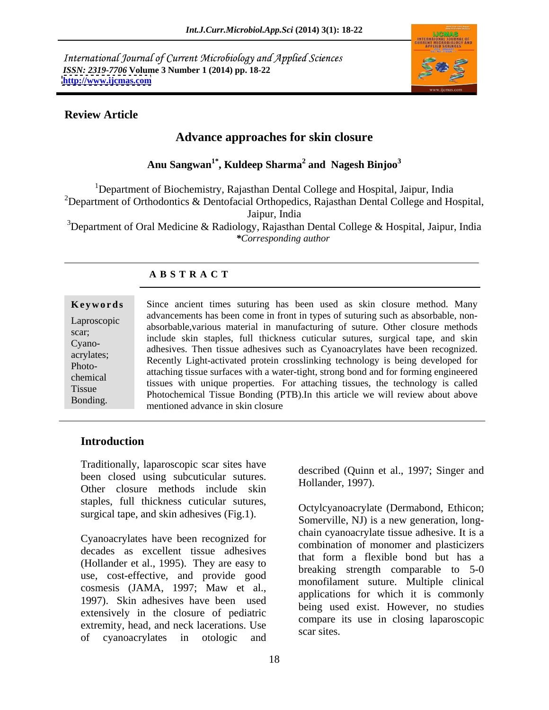International Journal of Current Microbiology and Applied Sciences *ISSN: 2319-7706* **Volume 3 Number 1 (2014) pp. 18-22 <http://www.ijcmas.com>**



### **Review Article**

# **Advance approaches for skin closure**

**Anu Sangwan1\* , Kuldeep Sharma<sup>2</sup> and Nagesh Binjoo<sup>3</sup>**

<sup>1</sup>Department of Biochemistry, Rajasthan Dental College and Hospital, Jaipur, India <sup>2</sup>Department of Orthodontics & Dentofacial Orthopedics, Rajasthan Dental College and Hospital,

Jaipur, India

<sup>3</sup>Department of Oral Medicine & Radiology, Rajasthan Dental College & Hospital, Jaipur, India *\*Corresponding author* 

### **A B S T R A C T**

| Keywords                                                                                        | Since ancient times                                                                                                                                                                                                                 |
|-------------------------------------------------------------------------------------------------|-------------------------------------------------------------------------------------------------------------------------------------------------------------------------------------------------------------------------------------|
| Laproscopic<br>scar:<br>Cyano-<br>acrylates;<br>Photo-<br>chemical<br><b>Tissue</b><br>Bonding. | advancements has been<br>absorbable, various ma<br>include skin staples,<br>adhesives. Then tissue<br>Recently Light-activat<br>attaching tissue surface<br>tissues with unique p<br>Photochemical Tissue<br>mentioned advance in s |

). In this article we will review about above suturing has been used as skin closure method. Many Laproscopic advancements has been come in none in types or suturing such as absorbable, hon-<br>absorbable, various material in manufacturing of suture. Other closure methods scar;<br>
include skin staples, full thickness cuticular sutures, surgical tape, and skin Cyano- adhesives. Then tissue adhesives such as Cyanoacrylates have been recognized. acrylates;<br>Recently Light-activated protein crosslinking technology is being developed for Photo-<br>
attaching tissue surfaces with a water-tight, strong bond and for forming engineered chemical tissues with unique properties. For attaching tissues, the technology is called Tissue Photochemical Tissue Bonding (PTB).In this article we will review about above **Keywords**<br>
Since ancient times suturing has been used as skin closure method. Many<br>
advancements has been come in front in types of suturing such as absorbable, non-<br>
scar;<br>
Cyano-<br>
include skin staples, full thickness cu a come in front in types of suturing such as absorbable, nonmed advance in skin closure

# **Introduction**

Traditionally, laparoscopic scar sites have been closed using subcuticular sutures. Other closure methods include skin staples, full thickness cuticular sutures, surgical tape, and skin adhesives (Fig.1).

Cyanoacrylates have been recognized for decades as excellent tissue adhesives (Hollander et al., 1995). They are easy to use, cost-effective, and provide good cosmesis (JAMA, 1997; Maw et al., 1997). Skin adhesives have been used extensively in the closure of pediatric extremity, head, and neck lacerations. Use compare scar sites. of cyanoacrylates in otologic and

described (Quinn et al., 1997; Singer and Hollander, 1997).

Octylcyanoacrylate (Dermabond, Ethicon; Somerville, NJ) is a new generation, long chain cyanoacrylate tissue adhesive. It is a combination of monomer and plasticizers that form a flexible bond but has a breaking strength comparable to 5-0 monofilament suture. Multiple clinical applications for which it is commonly being used exist. However, no studies compare its use in closing laparoscopic scar sites.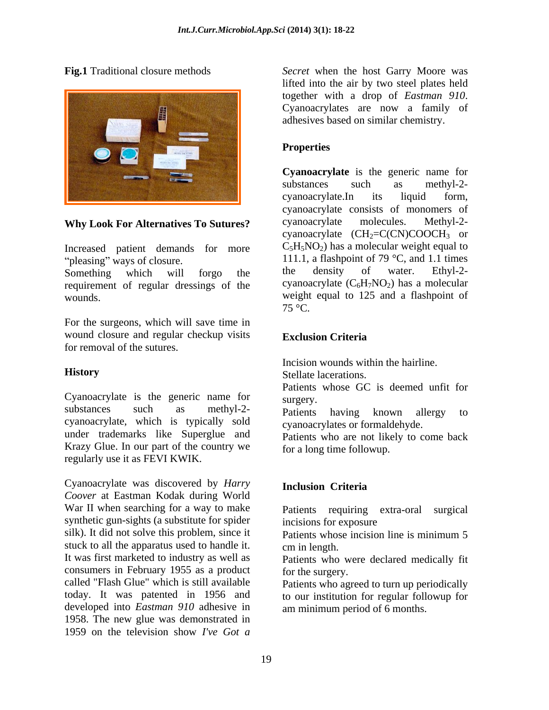

Increased patient demands for more

requirement of regular dressings of the

For the surgeons, which will save time in wound closure and regular checkup visits **Exclusion Criteria** for removal of the sutures.

Cyanoacrylate is the generic name for surgery. substances such as methyl-2- patients having known allergy to cyanoacrylate, which is typically sold under trademarks like Superglue and Krazy Glue. In our part of the country we regularly use it as FEVI KWIK.

Cyanoacrylate was discovered by *Harry Coover* at Eastman Kodak during World War II when searching for a way to make synthetic gun-sights (a substitute for spider incisions for exposure silk). It did not solve this problem, since it Patients whose incision line is minimum 5 stuck to all the apparatus used to handle it. cm in length. It was first marketed to industry as well as Patients who were declared medically fit consumers in February 1955 as a product called "Flash Glue" which is still available Patients who agreed to turn up periodically today. It was patented in 1956 and to our institution for regular followup for developed into *Eastman 910* adhesive in 1958. The new glue was demonstrated in 1959 on the television show *I've Got a*

**Fig.1** Traditional closure methods *Secret* when the host Garry Moore was lifted into the air by two steel plates held together with <sup>a</sup> drop of *Eastman <sup>910</sup>*. Cyanoacrylates are now <sup>a</sup> family of adhesives based on similar chemistry.

## **Properties**

Why Look For Alternatives To Sutures? cyanoacrylate molecules. Methyl-2pleasing" ways of closure.  $111.1$ , a flashpoint of 79 °C, and 1.1 times Something which will forgo the the density of water. Ethyl-2weight equal to 125 and a flashpoint of vertex of  $75^{\circ}$ C. **Cyanoacrylate** is the generic name for substances such as methyl-2 cyanoacrylate.In its liquid form, cyanoacrylate consists of monomers of cyanoacrylate molecules. Methyl-2 cyanoacrylate  $(CH_2=C(CN)COOCH_3$  or  $C_5H_5NO_2$ ) has a molecular weight equal to the density of water. Ethyl-2 cyanoacrylate  $(C_6H_7NO_2)$  has a molecular weight equal to 125 and a flashpoint of  $75^{\circ}$ C.

### **Exclusion Criteria**

**History** Incision wounds within the hairline.

Stellate lacerations.

Patients whose GC is deemed unfit for surgery.

Patients having known allergy to cyanoacrylates or formaldehyde.

Patients who are not likely to come back for a long time followup.

# **Inclusion Criteria**

Patients requiring extra-oral surgical incisions for exposure

Patients whose incision line is minimum 5 cm in length.

for the surgery.

am minimum period of 6 months.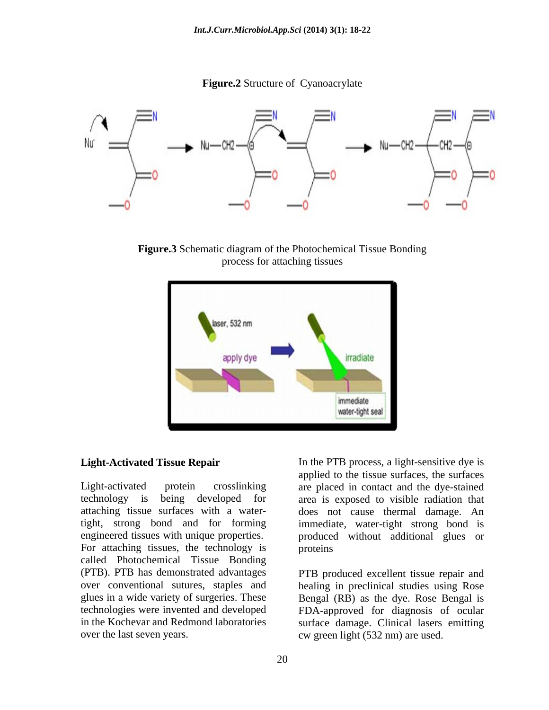**Figure.2** Structure of Cyanoacrylate



**Figure.3** Schematic diagram of the Photochemical Tissue Bonding process for attaching tissues



Light-activated protein crosslinking are placed in contact and the dye-stained technology is being developed for area is exposed to visible radiation that attaching tissue surfaces with a water-does not cause thermal damage. An tight, strong bond and for forming immediate, water-tight strong bond is engineered tissues with unique properties. produced without additional glues or For attaching tissues, the technology is called Photochemical Tissue Bonding (PTB). PTB has demonstrated advantages PTB produced excellent tissue repair and over conventional sutures, staples and healing in preclinical studies using Rose glues in a wide variety of surgeries. These Bengal (RB) as the dye. Rose Bengal is technologies were invented and developed FDA-approved for diagnosis of ocular in the Kochevar and Redmond laboratories surface damage. Clinical lasers emitting

**Light-Activated Tissue Repair** In the PTB process, a light-sensitive dye is applied to the tissue surfaces, the surfaces proteins and the set of the set of the set of the set of the set of the set of the set of the set of the set of the set of the set of the set of the set of the set of the set of the set of the set of the set of the set of

over the last seven years. cw green light (532 nm) are used.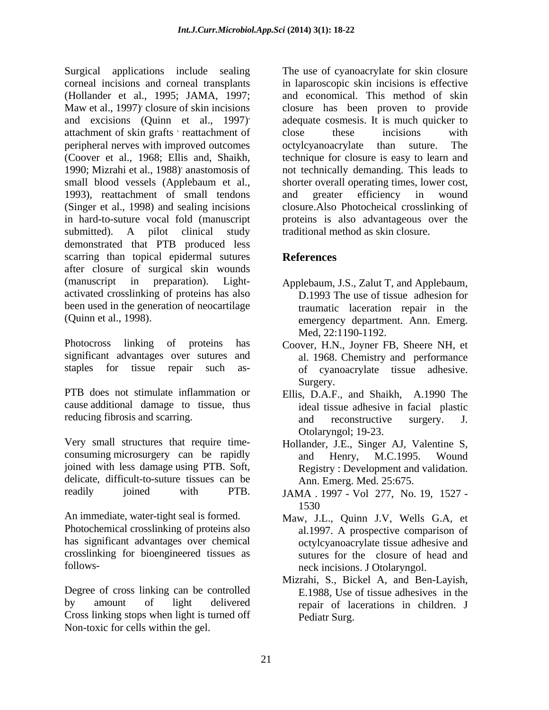Surgical applications include sealing The use of cyanoacrylate for skin closure corneal incisions and corneal transplants in laparoscopic skin incisions is effective (Hollander et al., 1995; JAMA, 1997; Maw et al., 1997) closure of skin incisions closure has been proven to provide and excisions (Quinn et al., 1997) adequate cosmesis. It is much quicker to attachment of skin grafts ' reattachment of close these incisions with peripheral nerves with improved outcomes (Coover et al., 1968; Ellis and, Shaikh, technique for closure is easy to learn and 1990; Mizrahi et al., 1988) small blood vessels (Applebaum et al., 1993), reattachment of small tendons and greater efficiency in wound (Singer et al., 1998) and sealing incisions in hard-to-suture vocal fold (manuscript proteins is also advantageous over the submitted). A pilot clinical study traditional method as skin closure. demonstrated that PTB produced less scarring than topical epidermal sutures References after closure of surgical skin wounds (manuscript in preparation). Light- Applebaum, J.S., Zalut T, and Applebaum, activated crosslinking of proteins has also been used in the generation of neocartilage traumatic laceration repair in the Superiories include scattering in The use of cyanocrylate for skin chemic<br>
Superioristic with the unit of the use of cyanocrylate for skin chemical<br>
distandent and the state of the unit of the unit of the unit of the use

Photocross linking of proteins has Coover, H.N., Joyner FB, Sheere NH, et significant advantages over sutures and

PTB does not stimulate inflammation or Ellis, D.A.F., and Shaikh, A.1990 The cause additional damage to tissue, thus

Very small structures that require time- Hollander, J.E., Singer AJ, Valentine S, consuming microsurgery can be rapidly and Henry, M.C.1995. Wound joined with less damage using PTB. Soft, Registry : Development and validation. delicate, difficult-to-suture tissues can be

An immediate, water-tight seal is formed. Maw, J.L., Quinn J.V, Wells G.A, et Photochemical crosslinking of proteins also has significant advantages over chemical crosslinking for bioengineered tissues as sutures for the closure of head and

Degree of cross linking can be controlled by amount of light delivered repair of lacerations in children. J Cross linking stops when light is turned off

reattachment of close these incisions with , anastomosis of not technically demanding. This leads to and economical. This method of skin close these incisions with octylcyanoacrylate than suture. shorter overall operating times, lower cost, and greater efficiency in wound closure.Also Photocheical crosslinking of traditional method as skin closure.

# **References**

- (Quinn et al., 1998). emergency department. Ann. Emerg. D.1993 The use of tissue adhesion for Med, 22:1190-1192.
- staples for tissue repair such as- of cyanoacrylate tissue adhesive. al. 1968. Chemistry and performance Surgery.
- reducing fibrosis and scarring. The and reconstructive surgery. J. ideal tissue adhesive in facial plastic and reconstructive surgery. J. Otolaryngol; 19-23.
	- and Henry, M.C.1995. Wound Ann. Emerg. Med. 25:675.
- readily joined with PTB. JAMA 1997 Vol 277, No. 19, 1527 -1530
- follows- neck incisions. J Otolaryngol. al.1997. A prospective comparison of octylcyanoacrylate tissue adhesive and
	- Mizrahi, S., Bickel A, and Ben-Layish, E.1988, Use of tissue adhesives in the Pediatr Surg.